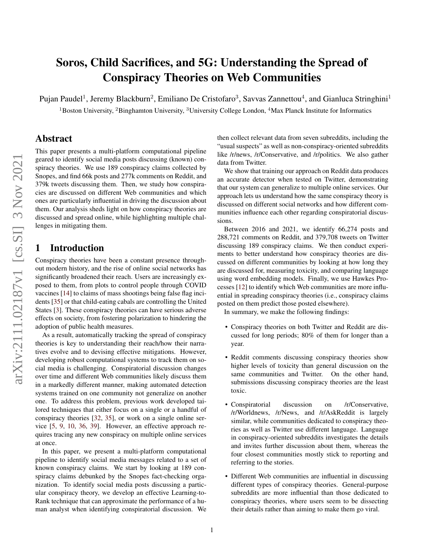# Soros, Child Sacrifices, and 5G: Understanding the Spread of Conspiracy Theories on Web Communities

Pujan Paudel<sup>1</sup>, Jeremy Blackburn<sup>2</sup>, Emiliano De Cristofaro<sup>3</sup>, Savvas Zannettou<sup>4</sup>, and Gianluca Stringhini<sup>1</sup>

<sup>1</sup>Boston University, <sup>2</sup>Binghamton University, <sup>3</sup>University College London, <sup>4</sup>Max Planck Institute for Informatics

# Abstract

This paper presents a multi-platform computational pipeline geared to identify social media posts discussing (known) conspiracy theories. We use 189 conspiracy claims collected by Snopes, and find 66k posts and 277k comments on Reddit, and 379k tweets discussing them. Then, we study how conspiracies are discussed on different Web communities and which ones are particularly influential in driving the discussion about them. Our analysis sheds light on how conspiracy theories are discussed and spread online, while highlighting multiple challenges in mitigating them.

## 1 Introduction

Conspiracy theories have been a constant presence throughout modern history, and the rise of online social networks has significantly broadened their reach. Users are increasingly exposed to them, from plots to control people through COVID vaccines [\[14\]](#page-8-0) to claims of mass shootings being false flag incidents [\[35\]](#page-9-0) or that child-eating cabals are controlling the United States [\[3\]](#page-8-1). These conspiracy theories can have serious adverse effects on society, from fostering polarization to hindering the adoption of public health measures.

As a result, automatically tracking the spread of conspiracy theories is key to understanding their reach/how their narratives evolve and to devising effective mitigations. However, developing robust computational systems to track them on social media is challenging. Conspiratorial discussion changes over time and different Web communities likely discuss them in a markedly different manner, making automated detection systems trained on one community not generalize on another one. To address this problem, previous work developed tailored techniques that either focus on a single or a handful of conspiracy theories [\[32,](#page-9-1) [35\]](#page-9-0), or work on a single online service [\[5,](#page-8-2) [9,](#page-8-3) [10,](#page-8-4) [36,](#page-9-2) [39\]](#page-9-3). However, an effective approach requires tracing any new conspiracy on multiple online services at once.

In this paper, we present a multi-platform computational pipeline to identify social media messages related to a set of known conspiracy claims. We start by looking at 189 conspiracy claims debunked by the Snopes fact-checking organization. To identify social media posts discussing a particular conspiracy theory, we develop an effective Learning-to-Rank technique that can approximate the performance of a human analyst when identifying conspiratorial discussion. We

then collect relevant data from seven subreddits, including the "usual suspects" as well as non-conspiracy-oriented subreddits like /r/news, /r/Conservative, and /r/politics. We also gather data from Twitter.

We show that training our approach on Reddit data produces an accurate detector when tested on Twitter, demonstrating that our system can generalize to multiple online services. Our approach lets us understand how the same conspiracy theory is discussed on different social networks and how different communities influence each other regarding conspiratorial discussions.

Between 2016 and 2021, we identify 66,274 posts and 288,721 comments on Reddit, and 379,708 tweets on Twitter discussing 189 conspiracy claims. We then conduct experiments to better understand how conspiracy theories are discussed on different communities by looking at how long they are discussed for, measuring toxicity, and comparing language using word embedding models. Finally, we use Hawkes Processes [\[12\]](#page-8-5) to identify which Web communities are more influential in spreading conspiracy theories (i.e., conspiracy claims posted on them predict those posted elsewhere).

In summary, we make the following findings:

- Conspiracy theories on both Twitter and Reddit are discussed for long periods; 80% of them for longer than a year.
- Reddit comments discussing conspiracy theories show higher levels of toxicity than general discussion on the same communities and Twitter. On the other hand, submissions discussing conspiracy theories are the least toxic.
- Conspiratorial discussion on /r/Conservative, /r/Worldnews, /r/News, and /r/AskReddit is largely similar, while communities dedicated to conspiracy theories as well as Twitter use different language. Language in conspiracy-oriented subreddits investigates the details and invites further discussion about them, whereas the four closest communities mostly stick to reporting and referring to the stories.
- Different Web communities are influential in discussing different types of conspiracy theories. General-purpose subreddits are more influential than those dedicated to conspiracy theories, where users seem to be dissecting their details rather than aiming to make them go viral.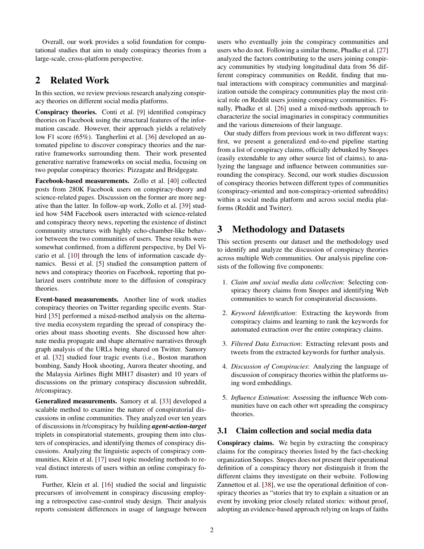Overall, our work provides a solid foundation for computational studies that aim to study conspiracy theories from a large-scale, cross-platform perspective.

# 2 Related Work

In this section, we review previous research analyzing conspiracy theories on different social media platforms.

Conspiracy theories. Conti et al. [\[9\]](#page-8-3) identified conspiracy theories on Facebook using the structural features of the information cascade. However, their approach yields a relatively low F1 score (65%). Tangherlini et al. [\[36\]](#page-9-2) developed an automated pipeline to discover conspiracy theories and the narrative frameworks surrounding them. Their work presented generative narrative frameworks on social media, focusing on two popular conspiracy theories: Pizzagate and Bridgegate.

Facebook-based measurements. Zollo et al. [\[40\]](#page-9-4) collected posts from 280K Facebook users on conspiracy-theory and science-related pages. Discussion on the former are more negative than the latter. In follow-up work, Zollo et al. [\[39\]](#page-9-3) studied how 54M Facebook users interacted with science-related and conspiracy theory news, reporting the existence of distinct community structures with highly echo-chamber-like behavior between the two communities of users. These results were somewhat confirmed, from a different perspective, by Del Vicario et al. [\[10\]](#page-8-4) through the lens of information cascade dynamics. Bessi et al. [\[5\]](#page-8-2) studied the consumption pattern of news and conspiracy theories on Facebook, reporting that polarized users contribute more to the diffusion of conspiracy theories.

Event-based measurements. Another line of work studies conspiracy theories on Twitter regarding specific events. Starbird [\[35\]](#page-9-0) performed a mixed-method analysis on the alternative media ecosystem regarding the spread of conspiracy theories about mass shooting events. She discussed how alternate media propagate and shape alternative narratives through graph analysis of the URLs being shared on Twitter. Samory et al. [\[32\]](#page-9-1) studied four tragic events (i.e., Boston marathon bombing, Sandy Hook shooting, Aurora theater shooting, and the Malaysia Airlines flight MH17 disaster) and 10 years of discussions on the primary conspiracy discussion subreddit, /r/conspiracy.

Generalized measurements. Samory et al. [\[33\]](#page-9-5) developed a scalable method to examine the nature of conspiratorial discussions in online communities. They analyzed over ten years of discussions in /r/conspiracy by building *agent-action-target* triplets in conspiratorial statements, grouping them into clusters of conspiracies, and identifying themes of conspiracy discussions. Analyzing the linguistic aspects of conspiracy communities, Klein et al. [\[17\]](#page-9-6) used topic modeling methods to reveal distinct interests of users within an online conspiracy forum.

Further, Klein et al. [\[16\]](#page-9-7) studied the social and linguistic precursors of involvement in conspiracy discussing employing a retrospective case-control study design. Their analysis reports consistent differences in usage of language between

users who eventually join the conspiracy communities and users who do not. Following a similar theme, Phadke et al. [\[27\]](#page-9-8) analyzed the factors contributing to the users joining conspiracy communities by studying longitudinal data from 56 different conspiracy communities on Reddit, finding that mutual interactions with conspiracy communities and marginalization outside the conspiracy communities play the most critical role on Reddit users joining conspiracy communities. Finally, Phadke et al. [\[26\]](#page-9-9) used a mixed-methods approach to characterize the social imaginaries in conspiracy communities and the various dimensions of their language.

Our study differs from previous work in two different ways: first, we present a generalized end-to-end pipeline starting from a list of conspiracy claims, officially debunked by Snopes (easily extendable to any other source list of claims), to analyzing the language and influence between communities surrounding the conspiracy. Second, our work studies discussion of conspiracy theories between different types of communities (conspiracy-oriented and non-conspiracy-oriented subreddits) within a social media platform and across social media platforms (Reddit and Twitter).

# 3 Methodology and Datasets

This section presents our dataset and the methodology used to identify and analyze the discussion of conspiracy theories across multiple Web communities. Our analysis pipeline consists of the following five components:

- 1. *Claim and social media data collection*: Selecting conspiracy theory claims from Snopes and identifying Web communities to search for conspiratorial discussions.
- 2. *Keyword Identification*: Extracting the keywords from conspiracy claims and learning to rank the keywords for automated extraction over the entire conspiracy claims.
- 3. *Filtered Data Extraction*: Extracting relevant posts and tweets from the extracted keywords for further analysis.
- 4. *Discussion of Conspiracies*: Analyzing the language of discussion of conspiracy theories within the platforms using word embeddings.
- 5. *Influence Estimation*: Assessing the influence Web communities have on each other wrt spreading the conspiracy theories.

#### <span id="page-1-0"></span>3.1 Claim collection and social media data

Conspiracy claims. We begin by extracting the conspiracy claims for the conspiracy theories listed by the fact-checking organization Snopes. Snopes does not present their operational definition of a conspiracy theory nor distinguish it from the different claims they investigate on their website. Following Zannettou et al. [\[38\]](#page-9-10), we use the operational definition of conspiracy theories as "stories that try to explain a situation or an event by invoking prior closely related stories: without proof, adopting an evidence-based approach relying on leaps of faiths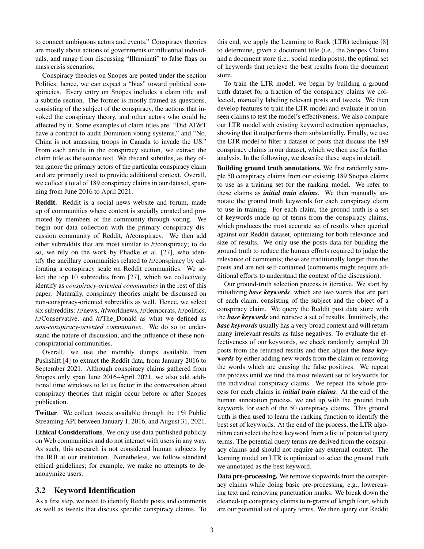to connect ambiguous actors and events." Conspiracy theories are mostly about actions of governments or influential individuals, and range from discussing "Illuminati" to false flags on mass crisis scenarios.

Conspiracy theories on Snopes are posted under the section Politics; hence, we can expect a "bias" toward political conspiracies. Every entry on Snopes includes a claim title and a subtitle section. The former is mostly framed as questions, consisting of the subject of the conspiracy, the actions that invoked the conspiracy theory, and other actors who could be affected by it. Some examples of claim titles are: "Did AT&T have a contract to audit Dominion voting systems," and "No, China is not amassing troops in Canada to invade the US." From each article in the conspiracy section, we extract the claim title as the source text. We discard subtitles, as they often ignore the primary actors of the particular conspiracy claim and are primarily used to provide additional context. Overall, we collect a total of 189 conspiracy claims in our dataset, spanning from June 2016 to April 2021.

Reddit. Reddit is a social news website and forum, made up of communities where content is socially curated and promoted by members of the community through voting. We begin our data collection with the primary conspiracy discussion community of Reddit, /r/conspiracy. We then add other subreddits that are most similar to /r/conspiracy; to do so, we rely on the work by Phadke et al. [\[27\]](#page-9-8), who identify the ancillary communities related to /r/conspiracy by calibrating a conspiracy scale on Reddit communities. We select the top 10 subreddits from [\[27\]](#page-9-8), which we collectively identify as *conspiracy-oriented communities* in the rest of this paper. Naturally, conspiracy theories might be discussed on non-conspiracy-oriented subreddits as well. Hence, we select six subreddits: /r/news, /r/worldnews, /r/democrats, /r/politics, /r/Conservative, and /r/The\_Donald as what we defined as *non-conspiracy-oriented communities*. We do so to understand the nature of discussion, and the influence of these nonconspiratorial communities.

Overall, we use the monthly dumps available from Pushshift [\[4\]](#page-8-6) to extract the Reddit data, from January 2016 to September 2021. Although conspiracy claims gathered from Snopes only span June 2016–April 2021, we also add additional time windows to let us factor in the conversation about conspiracy theories that might occur before or after Snopes publication.

Twitter. We collect tweets available through the 1% Public Streaming API between January 1, 2016, and August 31, 2021.

Ethical Considerations. We only use data published publicly on Web communities and do not interact with users in any way. As such, this research is not considered human subjects by the IRB at our institution. Nonetheless, we follow standard ethical guidelines; for example, we make no attempts to deanonymize users.

#### <span id="page-2-0"></span>3.2 Keyword Identification

As a first step, we need to identify Reddit posts and comments as well as tweets that discuss specific conspiracy claims. To

this end, we apply the Learning to Rank (LTR) technique [\[8\]](#page-8-7) to determine, given a document title (i.e., the Snopes Claim) and a document store (i.e., social media posts), the optimal set of keywords that retrieve the best results from the document store.

To train the LTR model, we begin by building a ground truth dataset for a fraction of the conspiracy claims we collected, manually labeling relevant posts and tweets. We then develop features to train the LTR model and evaluate it on unseen claims to test the model's effectiveness. We also compare our LTR model with existing keyword extraction approaches, showing that it outperforms them substantially. Finally, we use the LTR model to filter a dataset of posts that discuss the 189 conspiracy claims in our dataset, which we then use for further analysis. In the following, we describe these steps in detail.

Building ground truth annotations. We first randomly sample 50 conspiracy claims from our existing 189 Snopes claims to use as a training set for the ranking model. We refer to these claims as *initial train claims*. We then manually annotate the ground truth keywords for each conspiracy claim to use in training. For each claim, the ground truth is a set of keywords made up of terms from the conspiracy claims, which produces the most accurate set of results when queried against our Reddit dataset, optimizing for both relevance and size of results. We only use the posts data for building the ground truth to reduce the human efforts required to judge the relevance of comments; these are traditionally longer than the posts and are not self-contained (comments might require additional efforts to understand the context of the discussion).

Our ground-truth selection process is iterative. We start by initializing *base keywords*, which are two words that are part of each claim, consisting of the subject and the object of a conspiracy claim. We query the Reddit post data store with the *base keywords* and retrieve a set of results. Intuitively, the *base keywords* usually has a very broad context and will return many irrelevant results as false negatives. To evaluate the effectiveness of our keywords, we check randomly sampled 20 posts from the returned results and then adjust the *base keywords* by either adding new words from the claim or removing the words which are causing the false positives. We repeat the process until we find the most relevant set of keywords for the individual conspiracy claims. We repeat the whole process for each claims in *initial train claims*. At the end of the human annotation process, we end up with the ground truth keywords for each of the 50 conspiracy claims. This ground truth is then used to learn the ranking function to identify the best set of keywords. At the end of the process, the LTR algorithm can select the best keyword from a list of potential query terms. The potential query terms are derived from the conspiracy claims and should not require any external context. The learning model on LTR is optimized to select the ground truth we annotated as the best keyword.

Data pre-processing. We remove stopwords from the conspiracy claims while doing basic pre-processing, e.g., lowercasing text and removing punctuation marks. We break down the cleaned-up conspiracy claims to n-grams of length four, which are our potential set of query terms. We then query our Reddit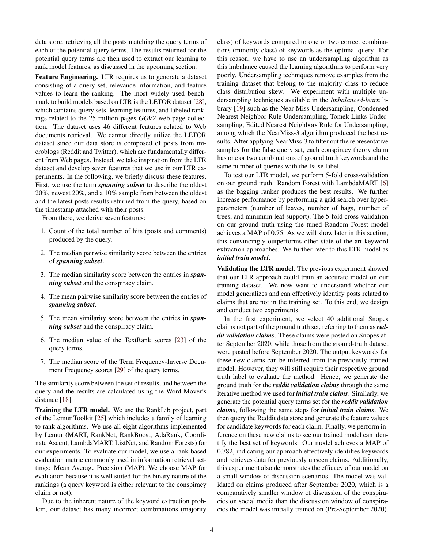data store, retrieving all the posts matching the query terms of each of the potential query terms. The results returned for the potential query terms are then used to extract our learning to rank model features, as discussed in the upcoming section.

Feature Engineering. LTR requires us to generate a dataset consisting of a query set, relevance information, and feature values to learn the ranking. The most widely used benchmark to build models based on LTR is the LETOR dataset [\[28\]](#page-9-11), which contains query sets, learning features, and labeled rankings related to the 25 million pages *GOV2* web page collection. The dataset uses 46 different features related to Web documents retrieval. We cannot directly utilize the LETOR dataset since our data store is composed of posts from microblogs (Reddit and Twitter), which are fundamentally different from Web pages. Instead, we take inspiration from the LTR dataset and develop seven features that we use in our LTR experiments. In the following, we briefly discuss these features. First, we use the term *spanning subset* to describe the oldest 20%, newest 20%, and a 10% sample from between the oldest and the latest posts results returned from the query, based on the timestamp attached with their posts.

From there, we derive seven features:

- 1. Count of the total number of hits (posts and comments) produced by the query.
- 2. The median pairwise similarity score between the entries of *spanning subset*.
- 3. The median similarity score between the entries in *spanning subset* and the conspiracy claim.
- 4. The mean pairwise similarity score between the entries of *spanning subset*.
- 5. The mean similarity score between the entries in *spanning subset* and the conspiracy claim.
- 6. The median value of the TextRank scores [\[23\]](#page-9-12) of the query terms.
- 7. The median score of the Term Frequency-Inverse Document Frequency scores [\[29\]](#page-9-13) of the query terms.

The similarity score between the set of results, and between the query and the results are calculated using the Word Mover's distance [\[18\]](#page-9-14).

Training the LTR model. We use the RankLib project, part of the Lemur Toolkit [\[25\]](#page-9-15) which includes a family of learning to rank algorithms. We use all eight algorithms implemented by Lemur (MART, RankNet, RankBoost, AdaRank, Coordinate Ascent, LambdaMART, ListNet, and Random Forests) for our experiments. To evaluate our model, we use a rank-based evaluation metric commonly used in information retrieval settings: Mean Average Precision (MAP). We choose MAP for evaluation because it is well suited for the binary nature of the rankings (a query keyword is either relevant to the conspiracy claim or not).

Due to the inherent nature of the keyword extraction problem, our dataset has many incorrect combinations (majority class) of keywords compared to one or two correct combinations (minority class) of keywords as the optimal query. For this reason, we have to use an undersampling algorithm as this imbalance caused the learning algorithms to perform very poorly. Undersampling techniques remove examples from the training dataset that belong to the majority class to reduce class distribution skew. We experiment with multiple undersampling techniques available in the *Imbalanced-learn* library [\[19\]](#page-9-16) such as the Near Miss Undersampling, Condensed Nearest Neighbor Rule Undersampling, Tomek Links Undersampling, Edited Nearest Neighbors Rule for Undersampling, among which the NearMiss-3 algorithm produced the best results. After applying NearMiss-3 to filter out the representative samples for the false query set, each conspiracy theory claim has one or two combinations of ground truth keywords and the same number of queries with the False label.

To test our LTR model, we perform 5-fold cross-validation on our ground truth. Random Forest with LambdaMART [\[6\]](#page-8-8) as the bagging ranker produces the best results. We further increase performance by performing a grid search over hyperparameters (number of leaves, number of bags, number of trees, and minimum leaf support). The 5-fold cross-validation on our ground truth using the tuned Random Forest model achieves a MAP of 0.75. As we will show later in this section, this convincingly outperforms other state-of-the-art keyword extraction approaches. We further refer to this LTR model as *initial train model*.

Validating the LTR model. The previous experiment showed that our LTR approach could train an accurate model on our training dataset. We now want to understand whether our model generalizes and can effectively identify posts related to claims that are not in the training set. To this end, we design and conduct two experiments.

In the first experiment, we select 40 additional Snopes claims not part of the ground truth set, referring to them as *reddit validation claims*. These claims were posted on Snopes after September 2020, while those from the ground-truth dataset were posted before September 2020. The output keywords for these new claims can be inferred from the previously trained model. However, they will still require their respective ground truth label to evaluate the method. Hence, we generate the ground truth for the *reddit validation claims* through the same iterative method we used for *initial train claims*. Similarly, we generate the potential query terms set for the *reddit validation claims*, following the same steps for *initial train claims*. We then query the Reddit data store and generate the feature values for candidate keywords for each claim. Finally, we perform inference on these new claims to see our trained model can identify the best set of keywords. Our model achieves a MAP of 0.782, indicating our approach effectively identifies keywords and retrieves data for previously unseen claims. Additionally, this experiment also demonstrates the efficacy of our model on a small window of discussion scenarios. The model was validated on claims produced after September 2020, which is a comparatively smaller window of discussion of the conspiracies on social media than the discussion window of conspiracies the model was initially trained on (Pre-September 2020).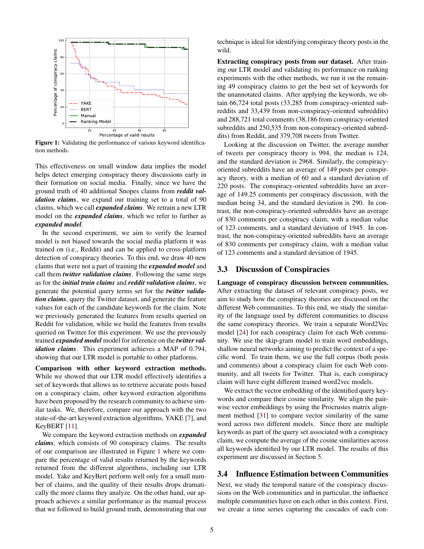<span id="page-4-0"></span>

Figure 1: Validating the performance of various keyword identification methods.

This effectiveness on small window data implies the model helps detect emerging conspiracy theory discussions early in their formation on social media. Finally, since we have the ground truth of 40 additional Snopes claims from *reddit validation claims*, we expand our training set to a total of 90 claims, which we call *expanded claims*. We retrain a new LTR model on the *expanded claims*, which we refer to further as *expanded model*.

In the second experiment, we aim to verify the learned model is not biased towards the social media platform it was trained on (i.e., Reddit) and can be applied to cross-platform detection of conspiracy theories. To this end, we draw 40 new claims that were not a part of training the *expanded model* and call them *twitter validation claims*. Following the same steps as for the *initial train claims* and *reddit validation claims*, we generate the potential query terms set for the *twitter validation claims*, query the Twitter dataset, and generate the feature values for each of the candidate keywords for the claim. Note we previously generated the features from results queried on Reddit for validation, while we build the features from results queried on Twitter for this experiment. We use the previously trained *expanded model* model for inference on the *twitter validation claims*. This experiment achieves a MAP of 0.794, showing that our LTR model is portable to other platforms.

Comparison with other keyword extraction methods. While we showed that our LTR model effectively identifies a set of keywords that allows us to retrieve accurate posts based on a conspiracy claim, other keyword extraction algorithms have been proposed by the research community to achieve similar tasks. We, therefore, compare our approach with the two state-of-the-art keyword extraction algorithms, YAKE [\[7\]](#page-8-9), and KeyBERT [\[11\]](#page-8-10).

We compare the keyword extraction methods on *expanded claims*, which consists of 90 conspiracy claims. The results of our comparison are illustrated in Figure [1](#page-4-0) where we compare the percentage of valid results returned by the keywords returned from the different algorithms, including our LTR model. Yake and KeyBert perform well only for a small number of claims, and the quality of their results drops dramatically the more claims they analyze. On the other hand, our approach achieves a similar performance as the manual process that we followed to build ground truth, demonstrating that our

technique is ideal for identifying conspiracy theory posts in the wild.

Extracting conspiracy posts from our dataset. After training our LTR model and validating its performance on ranking experiments with the other methods, we run it on the remaining 49 conspiracy claims to get the best set of keywords for the unannotated claims. After applying the keywords, we obtain 66,724 total posts (33,285 from conspiracy-oriented subreddits and 33,439 from non-conspiracy-oriented subreddits) and 288,721 total comments (38,186 from conspiracy-oriented subreddits and 250,535 from non-conspiracy-oriented subreddits) from Reddit, and 379,708 tweets from Twitter.

Looking at the discussion on Twitter, the average number of tweets per conspiracy theory is 994, the median is 124, and the standard deviation is 2968. Similarly, the conspiracyoriented subreddits have an average of 149 posts per conspiracy theory, with a median of 60 and a standard deviation of 220 posts. The conspiracy-oriented subreddits have an average of 149.25 comments per conspiracy discussion, with the median being 34, and the standard deviation is 290. In contrast, the non-conspiracy-oriented subreddits have an average of 830 comments per conspiracy claim, with a median value of 123 comments, and a standard deviation of 1945. In contrast, the non-conspiracy-oriented subreddits have an average of 830 comments per conspiracy claim, with a median value of 123 comments and a standard deviation of 1945.

#### <span id="page-4-1"></span>3.3 Discussion of Conspiracies

Language of conspiracy discussion between communities. After extracting the dataset of relevant conspiracy posts, we aim to study how the conspiracy theories are discussed on the different Web communities. To this end, we study the similarity of the language used by different communities to discuss the same conspiracy theories. We train a separate Word2Vec model [\[24\]](#page-9-17) for each conspiracy claim for each Web community. We use the skip-gram model to train word embeddings, shallow neural networks aiming to predict the context of a specific word. To train them, we use the full corpus (both posts and comments) about a conspiracy claim for each Web community, and all tweets for Twitter. That is, each conspiracy claim will have eight different trained word2vec models.

We extract the vector embedding of the identified query keywords and compare their cosine similarity. We align the pairwise vector embeddings by using the Procrustes matrix alignment method [\[31\]](#page-9-18) to compare vector similarity of the same word across two different models. Since there are multiple keywords as part of the query set associated with a conspiracy claim, we compute the average of the cosine similarities across all keywords identified by our LTR model. The results of this experiment are discussed in Section [5.](#page-5-0)

#### 3.4 Influence Estimation between Communities

Next, we study the temporal nature of the conspiracy discussions on the Web communities and in particular, the influence multiple communities have on each other in this context. First, we create a time series capturing the cascades of each con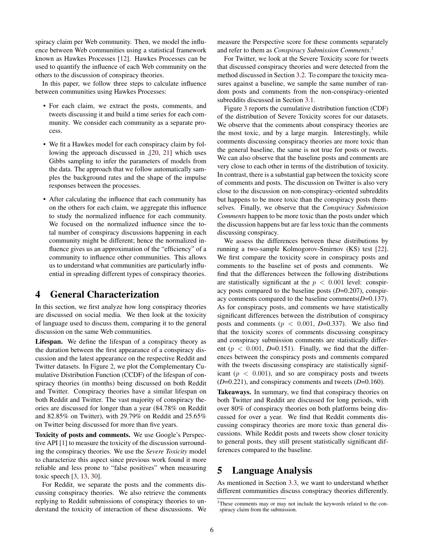spiracy claim per Web community. Then, we model the influence between Web communities using a statistical framework known as Hawkes Processes [\[12\]](#page-8-5). Hawkes Processes can be used to quantify the influence of each Web community on the others to the discussion of conspiracy theories.

In this paper, we follow three steps to calculate influence between communities using Hawkes Processes:

- For each claim, we extract the posts, comments, and tweets discussing it and build a time series for each community. We consider each community as a separate process.
- We fit a Hawkes model for each conspiracy claim by following the approach discussed in ,[\[20,](#page-9-19) [21\]](#page-9-20) which uses Gibbs sampling to infer the parameters of models from the data. The approach that we follow automatically samples the background rates and the shape of the impulse responses between the processes.
- After calculating the influence that each community has on the others for each claim, we aggregate this influence to study the normalized influence for each community. We focused on the normalized influence since the total number of conspiracy discussions happening in each community might be different; hence the normalized influence gives us an approximation of the "efficiency" of a community to influence other communities. This allows us to understand what communities are particularly influential in spreading different types of conspiracy theories.

# 4 General Characterization

In this section, we first analyze how long conspiracy theories are discussed on social media. We then look at the toxicity of language used to discuss them, comparing it to the general discussion on the same Web communities.

Lifespan. We define the lifespan of a conspiracy theory as the duration between the first appearance of a conspiracy discussion and the latest appearance on the respective Reddit and Twitter datasets. In Figure [2,](#page-6-0) we plot the Complementary Cumulative Distribution Function (CCDF) of the lifespan of conspiracy theories (in months) being discussed on both Reddit and Twitter. Conspiracy theories have a similar lifespan on both Reddit and Twitter. The vast majority of conspiracy theories are discussed for longer than a year (84.78% on Reddit and 82.85% on Twitter), with 29.79% on Reddit and 25.65% on Twitter being discussed for more than five years.

Toxicity of posts and comments. We use Google's Perspective API [\[1\]](#page-8-11) to measure the toxicity of the discussion surrounding the conspiracy theories. We use the *Severe Toxicity* model to characterize this aspect since previous work found it more reliable and less prone to "false positives" when measuring toxic speech [\[3,](#page-8-1) [13,](#page-8-12) [30\]](#page-9-21).

For Reddit, we separate the posts and the comments discussing conspiracy theories. We also retrieve the comments replying to Reddit submissions of conspiracy theories to understand the toxicity of interaction of these discussions. We measure the Perspective score for these comments separately and refer to them as *Conspiracy Submission Comments*. [1](#page-5-1)

For Twitter, we look at the Severe Toxicity score for tweets that discussed conspiracy theories and were detected from the method discussed in Section [3.2.](#page-2-0) To compare the toxicity measures against a baseline, we sample the same number of random posts and comments from the non-conspiracy-oriented subreddits discussed in Section [3.1.](#page-1-0)

Figure [3](#page-6-0) reports the cumulative distribution function (CDF) of the distribution of Severe Toxicity scores for our datasets. We observe that the comments about conspiracy theories are the most toxic, and by a large margin. Interestingly, while comments discussing conspiracy theories are more toxic than the general baseline, the same is not true for posts or tweets. We can also observe that the baseline posts and comments are very close to each other in terms of the distribution of toxicity. In contrast, there is a substantial gap between the toxicity score of comments and posts. The discussion on Twitter is also very close to the discussion on non-conspiracy-oriented subreddits but happens to be more toxic than the conspiracy posts themselves. Finally, we observe that the *Conspiracy Submission Comments* happen to be more toxic than the posts under which the discussion happens but are far less toxic than the comments discussing conspiracy.

We assess the differences between these distributions by running a two-sample Kolmogorov-Smirnov (KS) test [\[22\]](#page-9-22). We first compare the toxicity score in conspiracy posts and comments to the baseline set of posts and comments. We find that the differences between the following distributions are statistically significant at the  $p < 0.001$  level: conspiracy posts compared to the baseline posts (*D*=0.207), conspiracy comments compared to the baseline comments(*D*=0.137). As for conspiracy posts, and comments we have statistically significant differences between the distribution of conspiracy posts and comments ( $p < 0.001$ ,  $D=0.337$ ). We also find that the toxicity scores of comments discussing conspiracy and conspiracy submission comments are statistically different ( $p < 0.001$ ,  $D=0.151$ ). Finally, we find that the differences between the conspiracy posts and comments compared with the tweets discussing conspiracy are statistically significant ( $p < 0.001$ ), and so are conspiracy posts and tweets (*D*=0.221), and conspiracy comments and tweets (*D*=0.160).

Takeaways. In summary, we find that conspiracy theories on both Twitter and Reddit are discussed for long periods, with over 80% of conspiracy theories on both platforms being discussed for over a year. We find that Reddit comments discussing conspiracy theories are more toxic than general discussions. While Reddit posts and tweets show closer toxicity to general posts, they still present statistically significant differences compared to the baseline.

# <span id="page-5-0"></span>5 Language Analysis

As mentioned in Section [3.3,](#page-4-1) we want to understand whether different communities discuss conspiracy theories differently.

<span id="page-5-1"></span><sup>&</sup>lt;sup>1</sup>These comments may or may not include the keywords related to the conspiracy claim from the submission.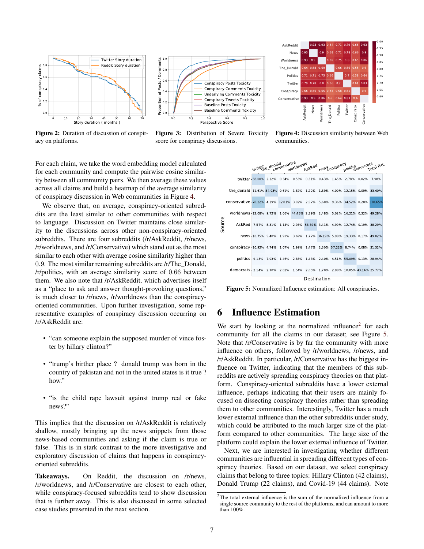<span id="page-6-0"></span>

Figure 2: Duration of discussion of conspiracy on platforms.



Figure 3: Distribution of Severe Toxicity score for conspiracy discussions.



Figure 4: Discussion similarity between Web communities.

For each claim, we take the word embedding model calculated for each community and compute the pairwise cosine similarity between all community pairs. We then average these values across all claims and build a heatmap of the average similarity of conspiracy discussion in Web communities in Figure [4.](#page-6-0)

We observe that, on average, conspiracy-oriented subreddits are the least similar to other communities with respect to language. Discussion on Twitter maintains close similarity to the discussions across other non-conspiracy-oriented subreddits. There are four subreddits (/r/AskReddit, /r/news, /r/worldnews, and /r/Conservative) which stand out as the most similar to each other with average cosine similarity higher than 0.9. The most similar remaining subreddits are /r/The\_Donald, /r/politics, with an average similarity score of 0.66 between them. We also note that /r/AskReddit, which advertises itself as a "place to ask and answer thought-provoking questions," is much closer to /r/news, /r/worldnews than the conspiracyoriented communities. Upon further investigation, some representative examples of conspiracy discussion occurring on /r/AskReddit are:

- "can someone explain the supposed murder of vince foster by hillary clinton?"
- "trump's birther place ? donald trump was born in the country of pakistan and not in the united states is it true ? how."
- "is the child rape lawsuit against trump real or fake news?"

This implies that the discussion on /r/AskReddit is relatively shallow, mostly bringing up the news snippets from those news-based communities and asking if the claim is true or false. This is in stark contrast to the more investigative and exploratory discussion of claims that happens in conspiracyoriented subreddits.

Takeaways. On Reddit, the discussion on /r/news, /r/worldnews, and /r/Conservative are closest to each other, while conspiracy-focused subreddits tend to show discussion that is further away. This is also discussed in some selected case studies presented in the next section.

<span id="page-6-2"></span>

Figure 5: Normalized Influence estimation: All conspiracies.

# 6 Influence Estimation

We start by looking at the normalized influence<sup>[2](#page-6-1)</sup> for each community for all the claims in our dataset; see Figure [5.](#page-6-2) Note that /r/Conservative is by far the community with more influence on others, followed by /r/worldnews, /r/news, and /r/AskReddit. In particular, /r/Conservative has the biggest influence on Twitter, indicating that the members of this subreddits are actively spreading conspiracy theories on that platform. Conspiracy-oriented subreddits have a lower external influence, perhaps indicating that their users are mainly focused on dissecting conspiracy theories rather than spreading them to other communities. Interestingly, Twitter has a much lower external influence than the other subreddits under study, which could be attributed to the much larger size of the platform compared to other communities. The large size of the platform could explain the lower external influence of Twitter.

Next, we are interested in investigating whether different communities are influential in spreading different types of conspiracy theories. Based on our dataset, we select conspiracy claims that belong to three topics: Hillary Clinton (42 claims), Donald Trump (22 claims), and Covid-19 (44 claims). Note

<span id="page-6-1"></span> $2$ The total external influence is the sum of the normalized influence from a single source community to the rest of the platforms, and can amount to more than 100%.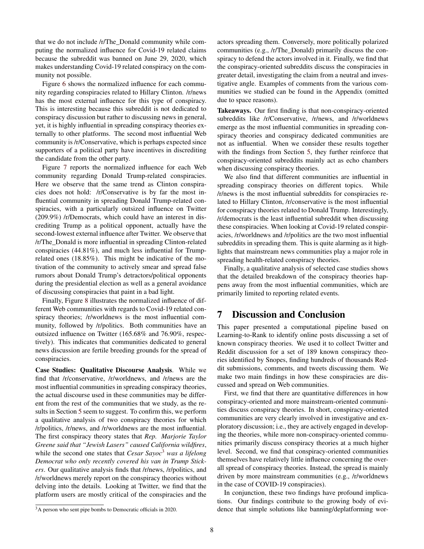that we do not include /r/The\_Donald community while computing the normalized influence for Covid-19 related claims because the subreddit was banned on June 29, 2020, which makes understanding Covid-19 related conspiracy on the community not possible.

Figure [6](#page-8-13) shows the normalized influence for each community regarding conspiracies related to Hillary Clinton. /r/news has the most external influence for this type of conspiracy. This is interesting because this subreddit is not dedicated to conspiracy discussion but rather to discussing news in general, yet, it is highly influential in spreading conspiracy theories externally to other platforms. The second most influential Web community is /r/Conservative, which is perhaps expected since supporters of a political party have incentives in discrediting the candidate from the other party.

Figure [7](#page-8-13) reports the normalized influence for each Web community regarding Donald Trump-related conspiracies. Here we observe that the same trend as Clinton conspiracies does not hold: /r/Conservative is by far the most influential community in spreading Donald Trump-related conspiracies, with a particularly outsized influence on Twitter (209.9%) /r/Democrats, which could have an interest in discrediting Trump as a political opponent, actually have the second-lowest external influence after Twitter. We observe that /r/The\_Donald is more influential in spreading Clinton-related conspiracies (44.81%), and much less influential for Trumprelated ones (18.85%). This might be indicative of the motivation of the community to actively smear and spread false rumors about Donald Trump's detractors/political opponents during the presidential election as well as a general avoidance of discussing conspiracies that paint in a bad light.

Finally, Figure [8](#page-8-13) illustrates the normalized influence of different Web communities with regards to Covid-19 related conspiracy theories; /r/worldnews is the most influential community, followed by /r/politics. Both communities have an outsized influence on Twitter (165.68% and 76.90%, respectively). This indicates that communities dedicated to general news discussion are fertile breeding grounds for the spread of conspiracies.

Case Studies: Qualitative Discourse Analysis. While we find that /r/conservative, /r/worldnews, and /r/news are the most influential communities in spreading conspiracy theories, the actual discourse used in these communities may be different from the rest of the communities that we study, as the results in Section [5](#page-5-0) seem to suggest. To confirm this, we perform a qualitative analysis of two conspiracy theories for which /r/politics, /r/news, and /r/worldnews are the most influential. The first conspiracy theory states that *Rep. Marjorie Taylor Greene said that "Jewish Lasers" caused California wildfires*, while the second one states that *Cesar Sayoc*<sup>[3](#page-7-0)</sup> *was a lifelong Democrat who only recently covered his van in Trump Stickers*. Our qualitative analysis finds that /r/news, /r/politics, and /r/worldnews merely report on the conspiracy theories without delving into the details. Looking at Twitter, we find that the platform users are mostly critical of the conspiracies and the

actors spreading them. Conversely, more politically polarized communities (e.g., /r/The\_Donald) primarily discuss the conspiracy to defend the actors involved in it. Finally, we find that the conspiracy-oriented subreddits discuss the conspiracies in greater detail, investigating the claim from a neutral and investigative angle. Examples of comments from the various communities we studied can be found in the Appendix (omitted due to space reasons).

Takeaways. Our first finding is that non-conspiracy-oriented subreddits like /r/Conservative, /r/news, and /r/worldnews emerge as the most influential communities in spreading conspiracy theories and conspiracy dedicated communities are not as influential. When we consider these results together with the findings from Section [5,](#page-5-0) they further reinforce that conspiracy-oriented subreddits mainly act as echo chambers when discussing conspiracy theories.

We also find that different communities are influential in spreading conspiracy theories on different topics. While /r/news is the most influential subreddits for conspiracies related to Hillary Clinton, /r/conservative is the most influential for conspiracy theories related to Donald Trump. Interestingly, /r/democrats is the least influential subreddit when discussing these conspiracies. When looking at Covid-19 related conspiracies, /r/worldnews and /r/politics are the two most influential subreddits in spreading them. This is quite alarming as it highlights that mainstream news communities play a major role in spreading health-related conspiracy theories.

Finally, a qualitative analysis of selected case studies shows that the detailed breakdown of the conspiracy theories happens away from the most influential communities, which are primarily limited to reporting related events.

# 7 Discussion and Conclusion

This paper presented a computational pipeline based on Learning-to-Rank to identify online posts discussing a set of known conspiracy theories. We used it to collect Twitter and Reddit discussion for a set of 189 known conspiracy theories identified by Snopes, finding hundreds of thousands Reddit submissions, comments, and tweets discussing them. We make two main findings in how these conspiracies are discussed and spread on Web communities.

First, we find that there are quantitative differences in how conspiracy-oriented and more mainstream-oriented communities discuss conspiracy theories. In short, conspiracy-oriented communities are very clearly involved in investigative and exploratory discussion; i.e., they are actively engaged in developing the theories, while more non-conspiracy-oriented communities primarily discuss conspiracy theories at a much higher level. Second, we find that conspiracy-oriented communities themselves have relatively little influence concerning the overall spread of conspiracy theories. Instead, the spread is mainly driven by more mainstream communities (e.g., /r/worldnews in the case of COVID-19 conspiracies).

In conjunction, these two findings have profound implications. Our findings contribute to the growing body of evidence that simple solutions like banning/deplatforming wor-

<span id="page-7-0"></span><sup>&</sup>lt;sup>3</sup>A person who sent pipe bombs to Democratic officials in 2020.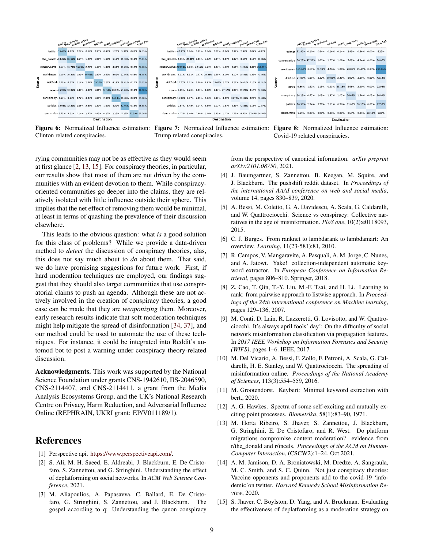<span id="page-8-13"></span>

Clinton related conspiracies.

Trump related conspiracies.

Figure 6: Normalized Influence estimation: Figure 7: Normalized Influence estimation: Figure 8: Normalized Influence estimation: Covid-19 related conspiracies.

rying communities may not be as effective as they would seem at first glance [\[2,](#page-8-14) [13,](#page-8-12) [15\]](#page-8-15). For conspiracy theories, in particular, our results show that most of them are not driven by the communities with an evident devotion to them. While conspiracyoriented communities go deeper into the claims, they are relatively isolated with little influence outside their sphere. This implies that the net effect of removing them would be minimal, at least in terms of quashing the prevalence of their discussion elsewhere.

This leads to the obvious question: what *is* a good solution for this class of problems? While we provide a data-driven method to *detect* the discussion of conspiracy theories, alas, this does not say much about to *do* about them. That said, we do have promising suggestions for future work. First, if hard moderation techniques are employed, our findings suggest that they should also target communities that use conspiratorial claims to push an agenda. Although these are not actively involved in the creation of conspiracy theories, a good case can be made that they are *weaponizing* them. Moreover, early research results indicate that soft moderation techniques might help mitigate the spread of disinformation [\[34,](#page-9-23) [37\]](#page-9-24), and our method could be used to automate the use of these techniques. For instance, it could be integrated into Reddit's automod bot to post a warning under conspiracy theory-related discussion.

Acknowledgments. This work was supported by the National Science Foundation under grants CNS-1942610, IIS-2046590, CNS-2114407, and CNS-2114411, a grant from the Media Analysis Ecosystems Group, and the UK's National Research Centre on Privacy, Harm Reduction, and Adversarial Influence Online (REPHRAIN, UKRI grant: EP/V011189/1).

### References

- <span id="page-8-11"></span>[1] Perspective api. [https://www.perspectiveapi.com/.](https://www.perspectiveapi.com/)
- <span id="page-8-14"></span>[2] S. Ali, M. H. Saeed, E. Aldreabi, J. Blackburn, E. De Cristofaro, S. Zannettou, and G. Stringhini. Understanding the effect of deplatforming on social networks. In *ACM Web Science Conference*, 2021.
- <span id="page-8-1"></span>[3] M. Aliapoulios, A. Papasavva, C. Ballard, E. De Cristofaro, G. Stringhini, S. Zannettou, and J. Blackburn. The gospel according to q: Understanding the qanon conspiracy

from the perspective of canonical information. *arXiv preprint arXiv:2101.08750*, 2021.

- <span id="page-8-6"></span>[4] J. Baumgartner, S. Zannettou, B. Keegan, M. Squire, and J. Blackburn. The pushshift reddit dataset. In *Proceedings of the international AAAI conference on web and social media*, volume 14, pages 830–839, 2020.
- <span id="page-8-2"></span>[5] A. Bessi, M. Coletto, G. A. Davidescu, A. Scala, G. Caldarelli, and W. Quattrociocchi. Science vs conspiracy: Collective narratives in the age of misinformation. *PloS one*, 10(2):e0118093, 2015.
- <span id="page-8-8"></span>[6] C. J. Burges. From ranknet to lambdarank to lambdamart: An overview. *Learning*, 11(23-581):81, 2010.
- <span id="page-8-9"></span>[7] R. Campos, V. Mangaravite, A. Pasquali, A. M. Jorge, C. Nunes, and A. Jatowt. Yake! collection-independent automatic keyword extractor. In *European Conference on Information Retrieval*, pages 806–810. Springer, 2018.
- <span id="page-8-7"></span>[8] Z. Cao, T. Qin, T.-Y. Liu, M.-F. Tsai, and H. Li. Learning to rank: from pairwise approach to listwise approach. In *Proceedings of the 24th international conference on Machine learning*, pages 129–136, 2007.
- <span id="page-8-3"></span>[9] M. Conti, D. Lain, R. Lazzeretti, G. Lovisotto, and W. Quattrociocchi. It's always april fools' day!: On the difficulty of social network misinformation classification via propagation features. In *2017 IEEE Workshop on Information Forensics and Security (WIFS)*, pages 1–6. IEEE, 2017.
- <span id="page-8-4"></span>[10] M. Del Vicario, A. Bessi, F. Zollo, F. Petroni, A. Scala, G. Caldarelli, H. E. Stanley, and W. Quattrociocchi. The spreading of misinformation online. *Proceedings of the National Academy of Sciences*, 113(3):554–559, 2016.
- <span id="page-8-10"></span>[11] M. Grootendorst. Keybert: Minimal keyword extraction with bert., 2020.
- <span id="page-8-5"></span>[12] A. G. Hawkes. Spectra of some self-exciting and mutually exciting point processes. *Biometrika*, 58(1):83–90, 1971.
- <span id="page-8-12"></span>[13] M. Horta Ribeiro, S. Jhaver, S. Zannettou, J. Blackburn, G. Stringhini, E. De Cristofaro, and R. West. Do platform migrations compromise content moderation? evidence from r/the\_donald and r/incels. *Proceedings of the ACM on Human-Computer Interaction*, (CSCW2):1–24, Oct 2021.
- <span id="page-8-0"></span>[14] A. M. Jamison, D. A. Broniatowski, M. Dredze, A. Sangraula, M. C. Smith, and S. C. Quinn. Not just conspiracy theories: Vaccine opponents and proponents add to the covid-19 'infodemic'on twitter. *Harvard Kennedy School Misinformation Review*, 2020.
- <span id="page-8-15"></span>[15] S. Jhaver, C. Boylston, D. Yang, and A. Bruckman. Evaluating the effectiveness of deplatforming as a moderation strategy on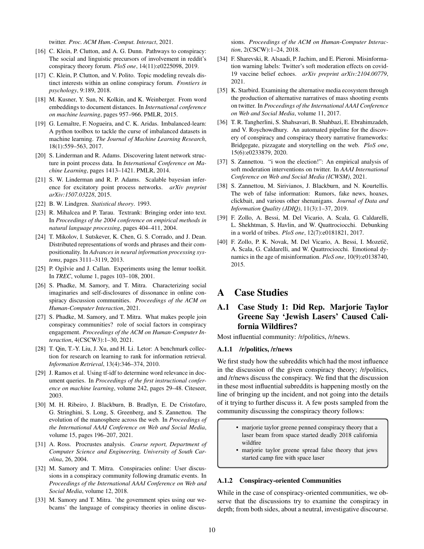twitter. *Proc. ACM Hum.-Comput. Interact*, 2021.

- <span id="page-9-7"></span>[16] C. Klein, P. Clutton, and A. G. Dunn. Pathways to conspiracy: The social and linguistic precursors of involvement in reddit's conspiracy theory forum. *PloS one*, 14(11):e0225098, 2019.
- <span id="page-9-6"></span>[17] C. Klein, P. Clutton, and V. Polito. Topic modeling reveals distinct interests within an online conspiracy forum. *Frontiers in psychology*, 9:189, 2018.
- <span id="page-9-14"></span>[18] M. Kusner, Y. Sun, N. Kolkin, and K. Weinberger. From word embeddings to document distances. In *International conference on machine learning*, pages 957–966. PMLR, 2015.
- <span id="page-9-16"></span>[19] G. Lemaître, F. Nogueira, and C. K. Aridas. Imbalanced-learn: A python toolbox to tackle the curse of imbalanced datasets in machine learning. *The Journal of Machine Learning Research*, 18(1):559–563, 2017.
- <span id="page-9-19"></span>[20] S. Linderman and R. Adams. Discovering latent network structure in point process data. In *International Conference on Machine Learning*, pages 1413–1421. PMLR, 2014.
- <span id="page-9-20"></span>[21] S. W. Linderman and R. P. Adams. Scalable bayesian inference for excitatory point process networks. *arXiv preprint arXiv:1507.03228*, 2015.
- <span id="page-9-22"></span>[22] B. W. Lindgren. *Statistical theory*. 1993.
- <span id="page-9-12"></span>[23] R. Mihalcea and P. Tarau. Textrank: Bringing order into text. In *Proceedings of the 2004 conference on empirical methods in natural language processing*, pages 404–411, 2004.
- <span id="page-9-17"></span>[24] T. Mikolov, I. Sutskever, K. Chen, G. S. Corrado, and J. Dean. Distributed representations of words and phrases and their compositionality. In *Advances in neural information processing systems*, pages 3111–3119, 2013.
- <span id="page-9-15"></span>[25] P. Ogilvie and J. Callan. Experiments using the lemur toolkit. In *TREC*, volume 1, pages 103–108, 2001.
- <span id="page-9-9"></span>[26] S. Phadke, M. Samory, and T. Mitra. Characterizing social imaginaries and self-disclosures of dissonance in online conspiracy discussion communities. *Proceedings of the ACM on Human-Computer Interaction*, 2021.
- <span id="page-9-8"></span>[27] S. Phadke, M. Samory, and T. Mitra. What makes people join conspiracy communities? role of social factors in conspiracy engagement. *Proceedings of the ACM on Human-Computer Interaction*, 4(CSCW3):1–30, 2021.
- <span id="page-9-11"></span>[28] T. Qin, T.-Y. Liu, J. Xu, and H. Li. Letor: A benchmark collection for research on learning to rank for information retrieval. *Information Retrieval*, 13(4):346–374, 2010.
- <span id="page-9-13"></span>[29] J. Ramos et al. Using tf-idf to determine word relevance in document queries. In *Proceedings of the first instructional conference on machine learning*, volume 242, pages 29–48. Citeseer, 2003.
- <span id="page-9-21"></span>[30] M. H. Ribeiro, J. Blackburn, B. Bradlyn, E. De Cristofaro, G. Stringhini, S. Long, S. Greenberg, and S. Zannettou. The evolution of the manosphere across the web. In *Proceedings of the International AAAI Conference on Web and Social Media*, volume 15, pages 196–207, 2021.
- <span id="page-9-18"></span>[31] A. Ross. Procrustes analysis. *Course report, Department of Computer Science and Engineering, University of South Carolina*, 26, 2004.
- <span id="page-9-1"></span>[32] M. Samory and T. Mitra. Conspiracies online: User discussions in a conspiracy community following dramatic events. In *Proceedings of the International AAAI Conference on Web and Social Media*, volume 12, 2018.
- <span id="page-9-5"></span>[33] M. Samory and T. Mitra. 'the government spies using our webcams' the language of conspiracy theories in online discus-

sions. *Proceedings of the ACM on Human-Computer Interaction*, 2(CSCW):1–24, 2018.

- <span id="page-9-23"></span>[34] F. Sharevski, R. Alsaadi, P. Jachim, and E. Pieroni. Misinformation warning labels: Twitter's soft moderation effects on covid-19 vaccine belief echoes. *arXiv preprint arXiv:2104.00779*, 2021.
- <span id="page-9-0"></span>[35] K. Starbird. Examining the alternative media ecosystem through the production of alternative narratives of mass shooting events on twitter. In *Proceedings of the International AAAI Conference on Web and Social Media*, volume 11, 2017.
- <span id="page-9-2"></span>[36] T. R. Tangherlini, S. Shahsavari, B. Shahbazi, E. Ebrahimzadeh, and V. Roychowdhury. An automated pipeline for the discovery of conspiracy and conspiracy theory narrative frameworks: Bridgegate, pizzagate and storytelling on the web. *PloS one*, 15(6):e0233879, 2020.
- <span id="page-9-24"></span>[37] S. Zannettou. "i won the election!": An empirical analysis of soft moderation interventions on twitter. In *AAAI International Conference on Web and Social Media (ICWSM)*, 2021.
- <span id="page-9-10"></span>[38] S. Zannettou, M. Sirivianos, J. Blackburn, and N. Kourtellis. The web of false information: Rumors, fake news, hoaxes, clickbait, and various other shenanigans. *Journal of Data and Information Quality (JDIQ)*, 11(3):1–37, 2019.
- <span id="page-9-3"></span>[39] F. Zollo, A. Bessi, M. Del Vicario, A. Scala, G. Caldarelli, L. Shekhtman, S. Havlin, and W. Quattrociocchi. Debunking in a world of tribes. *PloS one*, 12(7):e0181821, 2017.
- <span id="page-9-4"></span>[40] F. Zollo, P. K. Novak, M. Del Vicario, A. Bessi, I. Mozetič, A. Scala, G. Caldarelli, and W. Quattrociocchi. Emotional dynamics in the age of misinformation. *PloS one*, 10(9):e0138740, 2015.

# A Case Studies

### A.1 Case Study 1: Did Rep. Marjorie Taylor Greene Say 'Jewish Lasers' Caused California Wildfires?

Most influential community: /r/politics, /r/news.

#### A.1.1 /r/politics, /r/news

We first study how the subreddits which had the most influence in the discussion of the given conspiracy theory; /r/politics, and /r/news discuss the conspiracy. We find that the discussion in these most influential subreddits is happening mostly on the line of bringing up the incident, and not going into the details of it trying to further discuss it. A few posts sampled from the community discussing the conspiracy theory follows:

- marjorie taylor greene penned conspiracy theory that a laser beam from space started deadly 2018 california wildfire
- marjorie taylor greene spread false theory that jews started camp fire with space laser

#### A.1.2 Conspiracy-oriented Communities

While in the case of conspiracy-oriented communities, we observe that the discussions try to examine the conspiracy in depth; from both sides, about a neutral, investigative discourse.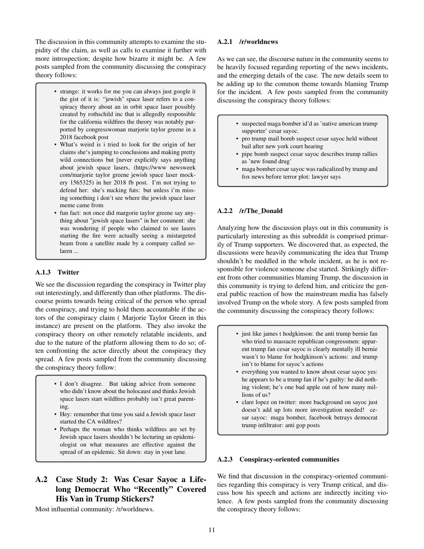The discussion in this community attempts to examine the stupidity of the claim, as well as calls to examine it further with more introspection; despite how bizarre it might be. A few posts sampled from the community discussing the conspiracy theory follows:

- strange: it works for me you can always just google it the gist of it is: "jewish" space laser refers to a conspiracy theory about an in orbit space laser possibly created by rothschild inc that is allegedly responsible for the california wildfires the theory was notably purported by congresswoman marjorie taylor greene in a 2018 facebook post
- What's weird is i tried to look for the origin of her claims she's jumping to conclusions and making pretty wild connections but [never explicitly says anything about jewish space lasers, (https://www newsweek com/marjorie taylor greene jewish space laser mockery 1565325) in her 2018 fb post. I'm not trying to defend her: she's nucking futs: but unless i'm missing something i don't see where the jewish space laser meme came from
- fun fact: not once did margorie taylor greene say anything about "jewish space lasers" in her comment: she was wondering if people who claimed to see lasers starting the fire were actually seeing a mistargeted beam from a satellite made by a company called solaren ...

#### A.1.3 Twitter

We see the discussion regarding the conspiracy in Twitter play out interestingly, and differently than other platforms. The discourse points towards being critical of the person who spread the conspiracy, and trying to hold them accountable if the actors of the conspiracy claim ( Marjorie Taylor Green in this instance) are present on the platform. They also invoke the conspiracy theory on other remotely relatable incidents, and due to the nature of the platform allowing them to do so; often confronting the actor directly about the conspiracy they spread. A few posts sampled from the community discussing the conspiracy theory follow:

- I don't disagree. But taking advice from someone who didn't know about the holocaust and thinks Jewish space lasers start wildfires probably isn't great parenting.
- Hey: remember that time you said a Jewish space laser started the CA wildfires?
- Perhaps the woman who thinks wildfires are set by Jewish space lasers shouldn't be lecturing an epidemiologist on what measures are effective against the spread of an epidemic. Sit down: stay in your lane.

# A.2 Case Study 2: Was Cesar Sayoc a Lifelong Democrat Who "Recently" Covered His Van in Trump Stickers?

Most influential community: /r/worldnews.

#### A.2.1 /r/worldnews

As we can see, the discourse nature in the community seems to be heavily focused regarding reporting of the news incidents, and the emerging details of the case. The new details seem to be adding up to the common theme towards blaming Trump for the incident. A few posts sampled from the community discussing the conspiracy theory follows:

- suspected maga bomber id'd as 'native american trump supporter' cesar sayoc.
- pro trump mail bomb suspect cesar sayoc held without bail after new york court hearing
- pipe bomb suspect cesar sayoc describes trump rallies as 'new found drug'
- maga bomber cesar sayoc was radicalized by trump and fox news before terror plot: lawyer says

#### A.2.2 /r/The\_Donald

Analyzing how the discussion plays out in this community is particularly interesting as this subreddit is comprised primarily of Trump supporters. We discovered that, as expected, the discussions were heavily communicating the idea that Trump shouldn't be meddled in the whole incident, as he is not responsible for violence someone else started. Strikingly different from other communities blaming Trump, the discussion in this community is trying to defend him, and criticize the general public reaction of how the mainstream media has falsely involved Trump on the whole story. A few posts sampled from the community discussing the conspiracy theory follows:

- just like james t hodgkinson: the anti trump bernie fan who tried to massacre republican congressmen: apparent trump fan cesar sayoc is clearly mentally ill bernie wasn't to blame for hodgkinson's actions: and trump isn't to blame for sayoc's actions
- everything you wanted to know about cesar sayoc yes: he appears to be a trump fan if he's guilty: he did nothing violent; he's one bad apple out of how many millions of us?
- clare lopez on twitter: more background on sayoc just doesn't add up lots more investigation needed! cesar sayoc: maga bomber, facebook betrays democrat trump infiltrator: anti gop posts

#### A.2.3 Conspiracy-oriented communities

We find that discussion in the conspiracy-oriented communities regarding this conspiracy is very Trump critical, and discuss how his speech and actions are indirectly inciting violence. A few posts sampled from the community discussing the conspiracy theory follows: